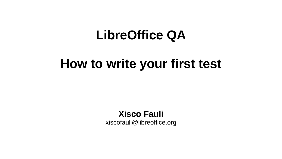#### **LibreOffice QA**

#### **How to write your first test**

**Xisco Fauli** xiscofauli@libreoffice.org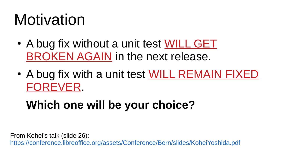### Motivation

- A bug fix without a unit test WILL GET BROKEN AGAIN in the next release.
- A bug fix with a unit test WILL REMAIN FIXED FOREVER.

#### **Which one will be your choice?**

From Kohei's talk (slide 26):

https://conference.libreoffice.org/assets/Conference/Bern/slides/KoheiYoshida.pdf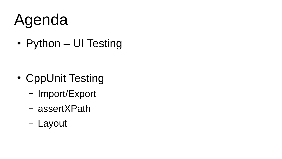# Agenda

• Python – UI Testing

- CppUnit Testing
	- Import/Export
	- assertXPath
	- Layout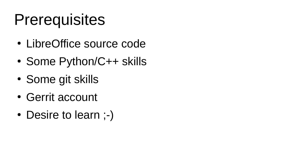#### **Prerequisites**

- LibreOffice source code
- Some Python/C++ skills
- Some git skills
- Gerrit account
- Desire to learn ;-)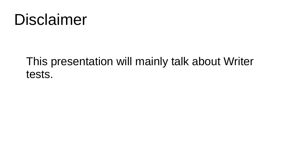#### Disclaimer

#### This presentation will mainly talk about Writer tests.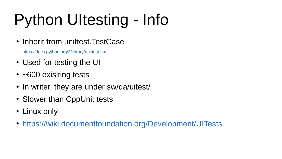# Python UItesting - Info

• Inherit from unittest. TestCase

https://docs.python.org/3/library/unittest.html

- Used for testing the UI
- $\cdot$  ~600 exisiting tests
- In writer, they are under sw/qa/uitest/
- Slower than CppUnit tests
- Linux only
- https://wiki.documentfoundation.org/Development/UITests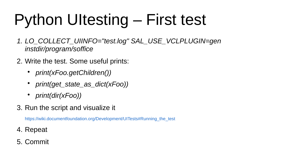# Python UItesting – First test

- *1. LO\_COLLECT\_UIINFO="test.log" SAL\_USE\_VCLPLUGIN=gen [instdir/program/soffice](https://docs.python.org/3/library/unittest.html)*
- 2. Write the test. Some useful prints:
	- *print(xFoo.getChildren())*
	- *print(get\_state\_as\_dict(xFoo))*
	- *print(dir(xFoo))*
- 3. Run the script and visualize it

https://wiki.documentfoundation.org/Development/UITests#Running\_the\_test

- 4. [Repeat](https://wiki.documentfoundation.org/Development/UITests)
- 5. Commit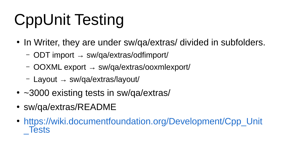# CppUnit Testing

- In Writer, they are under sw/qa/extras/ divided in subfolders.
	- ODT import → sw/qa/extras/odfimport/
	- OOXML export → sw/qa/extras/ooxmlexport/
	- Layout → sw/qa/extras/layout/
- ~3000 existing tests in sw/qa/extras/
- sw/qa/extras/README
- [https://wiki.documentfoundation.org/D](https://wiki.documentfoundation.org/Development/UITests#Running_the_test)evelopment/Cpp Unit **Tests**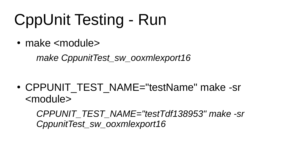### CppUnit Testing - Run

• make <module>

*make CppunitTest\_sw\_ooxmlexport16*

• CPPUNIT\_TEST\_NAME="testName" make -sr <module>

*CPPUNIT\_TEST\_NAME="testTdf138953" make -sr CppunitTest\_sw\_ooxmlexport16*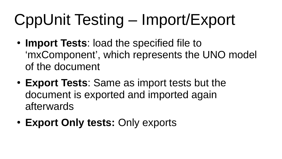# CppUnit Testing – Import/Export

- **Import Tests**: load the specified file to 'mxComponent', which represents the UNO model of the document
- **Export Tests**: Same as import tests but the document is exported and imported again afterwards
- **[Export Only tests:](https://wiki.documentfoundation.org/Development/Cpp_Unit_Tests)** Only exports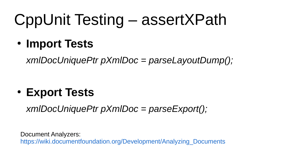### CppUnit Testing – assertXPath

● **Import Tests**

*xmlDocUniquePtr pXmlDoc = parseLayoutDump();*

● **Export Tests**

*xmlDocUniquePtr pXmlDoc = parseExport();*

Document Analyzers: https://wiki.documentfoundation.org/Development/Analyzing\_Documents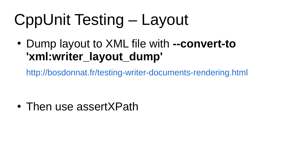### CppUnit Testing – Layout

● Dump layout to XML file with **--convert-to 'xml:writer\_layout\_dump'**

http://bosdonnat.fr/testing-writer-documents-rendering.html

• Then use assertXPath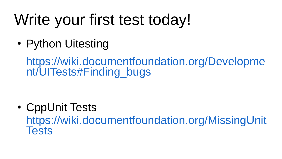## Write your first test today!

• Python Uitesting

https://wiki.documentfoundation.org/Developme nt/UITests#Finding\_bugs

• CppUnit Tests

https://wiki.documentfoundation.org/MissingUnit **Tests**